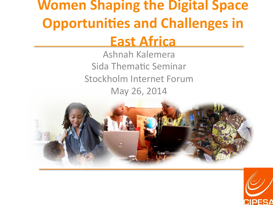# **Women Shaping the Digital Space Opportunities and Challenges in**

### **East Africa**

Ashnah Kalemera Sida Thematic Seminar Stockholm Internet Forum May 26, 2014



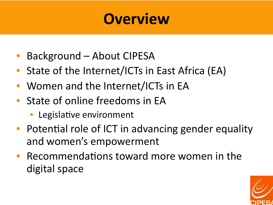## **Overview**

- Background About CIPESA
- State of the Internet/ICTs in East Africa (EA)
- Women and the Internet/ICTs in EA
- State of online freedoms in EA
	- Legislative environment
- Potential role of ICT in advancing gender equality and women's empowerment
- Recommendations toward more women in the digital space

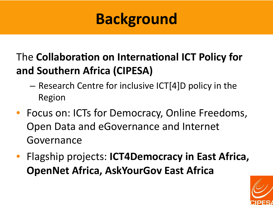## **Background**

### The **Collaboration on International ICT Policy for** and Southern Africa (CIPESA)

- $-$  Research Centre for inclusive ICT[4]D policy in the Region
- Focus on: ICTs for Democracy, Online Freedoms, Open Data and eGovernance and Internet Governance
- **Flagship projects: ICT4Democracy in East Africa, OpenNet Africa, AskYourGov East Africa**

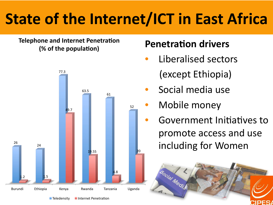## **State of the Internet/ICT in East Africa**

**Telephone and Internet Penetration (% of the population)** 



 $\blacksquare$  Teledensity  $\blacksquare$  Internet Penetration

#### **Penetration drivers**

- Liberalised sectors (except Ethiopia)
- Social media use
- Mobile money
	- Government Initiatives to promote access and use including for Women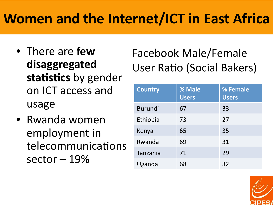## **Women and the Internet/ICT in East Africa**

- There are **few disaggregated**  statistics by gender on ICT access and usage
- Rwanda women employment in telecommunications sector  $-19%$

### Facebook Male/Female User Ratio (Social Bakers)

| <b>Country</b> | % Male<br><b>Users</b> | % Female<br><b>Users</b> |
|----------------|------------------------|--------------------------|
| <b>Burundi</b> | 67                     | 33                       |
| Ethiopia       | 73                     | 27                       |
| Kenya          | 65                     | 35                       |
| Rwanda         | 69                     | 31                       |
| Tanzania       | 71                     | 29                       |
| Uganda         | 68                     | 32                       |

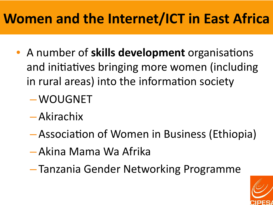## **Women and the Internet/ICT in East Africa**

- A number of **skills development** organisations and initiatives bringing more women (including in rural areas) into the information society
	- –WOUGNET
	- Akirachix
	- Association of Women in Business (Ethiopia)
	- Akina Mama Wa Afrika
	- Tanzania Gender Networking Programme

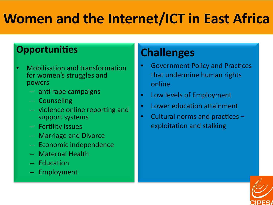## **Women and the Internet/ICT in East Africa**

#### **Opportunities**

- **Mobilisation and transformation**  $\bullet$ for women's struggles and powers
	- anti rape campaigns
	- Counseling
	- violence online reporting and support systems
	- Fertility issues
	- Marriage and Divorce
	- Economic independence
	- Maternal Health
	- Education
	- Employment

### **Challenges**

- **Government Policy and Practices** that undermine human rights online
- Low levels of Employment  $\bullet$
- Lower education attainment  $\bullet$
- Cultural norms and practices - $\bullet$ exploitation and stalking

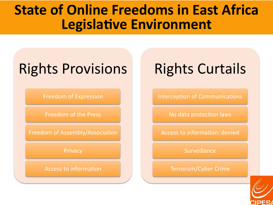### **State of Online Freedoms in East Africa Legislative Environment**

## Rights Provisions

Freedom of Expression

Freedom of the Press

Freedom of Assembly/Association

**Privacy** 

Access to information

## Rights Curtails

Interception of Communications

No data protection laws

Access to information: denied

**Surveillance** 

Terrorism/Cyber Crime 

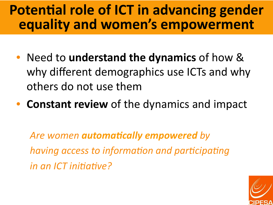### **Potential role of ICT in advancing gender equality and women's empowerment**

- Need to **understand the dynamics** of how & why different demographics use ICTs and why others do not use them
- **Constant review** of the dynamics and impact

Are women **automatically empowered** by *having access to information and participating in an ICT initiative?* 

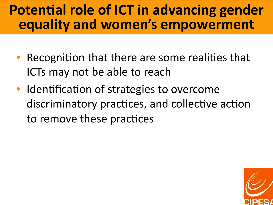### **Potential role of ICT in advancing gender** equality and women's empowerment

- Recognition that there are some realities that ICTs may not be able to reach
- Identification of strategies to overcome discriminatory practices, and collective action to remove these practices

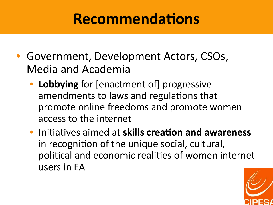## **Recommendations**

- Government, Development Actors, CSOs, Media and Academia
	- Lobbying for [enactment of] progressive amendments to laws and regulations that promote online freedoms and promote women access to the internet
	- **Initiatives aimed at skills creation and awareness** in recognition of the unique social, cultural, political and economic realities of women internet users in EA